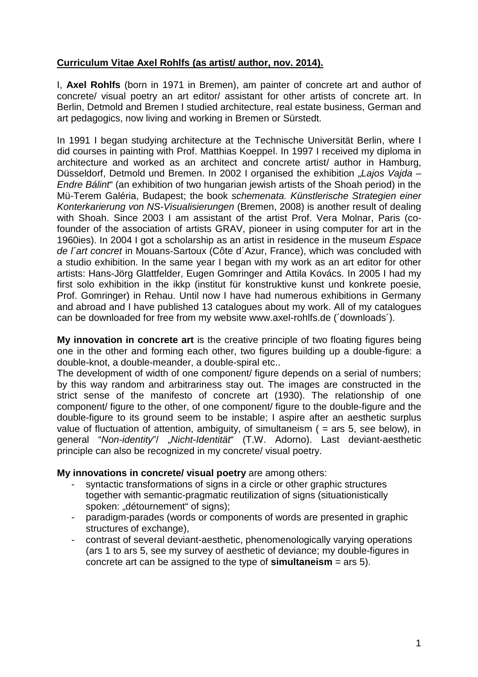# **Curriculum Vitae Axel Rohlfs (as artist/ author, nov. 2014).**

I, **Axel Rohlfs** (born in 1971 in Bremen), am painter of concrete art and author of concrete/ visual poetry an art editor/ assistant for other artists of concrete art. In Berlin, Detmold and Bremen I studied architecture, real estate business, German and art pedagogics, now living and working in Bremen or Sürstedt.

In 1991 I began studying architecture at the Technische Universität Berlin, where I did courses in painting with Prof. Matthias Koeppel. In 1997 I received my diploma in architecture and worked as an architect and concrete artist/ author in Hamburg, Düsseldorf, Detmold und Bremen. In 2002 I organised the exhibition "Lajos Vajda – *Endre Bálint*" (an exhibition of two hungarian jewish artists of the Shoah period) in the Mü-Terem Galéria, Budapest; the book *schemenata. Künstlerische Strategien einer Konterkarierung von NS-Visualisierungen* (Bremen, 2008) is another result of dealing with Shoah. Since 2003 I am assistant of the artist Prof. Vera Molnar, Paris (cofounder of the association of artists GRAV, pioneer in using computer for art in the 1960ies). In 2004 I got a scholarship as an artist in residence in the museum *Espace de l´art concret* in Mouans-Sartoux (Côte d´Azur, France), which was concluded with a studio exhibition. In the same year I began with my work as an art editor for other artists: Hans-Jörg Glattfelder, Eugen Gomringer and Attila Kovács. In 2005 I had my first solo exhibition in the ikkp (institut für konstruktive kunst und konkrete poesie, Prof. Gomringer) in Rehau. Until now I have had numerous exhibitions in Germany and abroad and I have published 13 catalogues about my work. All of my catalogues can be downloaded for free from my website www.axel-rohlfs.de (´downloads´).

**My innovation in concrete art** is the creative principle of two floating figures being one in the other and forming each other, two figures building up a double-figure: a double-knot, a double-meander, a double-spiral etc..

The development of width of one component/ figure depends on a serial of numbers; by this way random and arbitrariness stay out. The images are constructed in the strict sense of the manifesto of concrete art (1930). The relationship of one component/ figure to the other, of one component/ figure to the double-figure and the double-figure to its ground seem to be instable; I aspire after an aesthetic surplus value of fluctuation of attention, ambiguity, of simultaneism ( $=$  ars 5, see below), in general "*Non-identity*"/ "*Nicht-Identität*" (T.W. Adorno). Last deviant-aesthetic principle can also be recognized in my concrete/ visual poetry.

#### **My innovations in concrete/ visual poetry** are among others:

- syntactic transformations of signs in a circle or other graphic structures together with semantic-pragmatic reutilization of signs (situationistically spoken: "détournement" of signs);
- paradigm-parades (words or components of words are presented in graphic structures of exchange),
- contrast of several deviant-aesthetic, phenomenologically varying operations (ars 1 to ars 5, see my survey of aesthetic of deviance; my double-figures in concrete art can be assigned to the type of **simultaneism** = ars 5).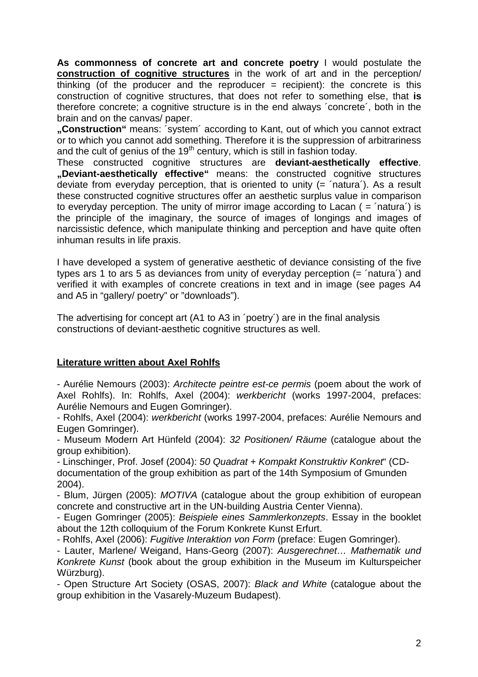**As commonness of concrete art and concrete poetry** I would postulate the **construction of cognitive structures** in the work of art and in the perception/ thinking (of the producer and the reproducer  $=$  recipient): the concrete is this construction of cognitive structures, that does not refer to something else, that **is** therefore concrete; a cognitive structure is in the end always ´concrete´, both in the brain and on the canvas/ paper.

**"Construction"** means: ´system´ according to Kant, out of which you cannot extract or to which you cannot add something. Therefore it is the suppression of arbitrariness and the cult of genius of the 19<sup>th</sup> century, which is still in fashion today.

These constructed cognitive structures are **deviant-aesthetically effective**. **"Deviant-aesthetically effective"** means: the constructed cognitive structures deviate from everyday perception, that is oriented to unity (= ´natura´). As a result these constructed cognitive structures offer an aesthetic surplus value in comparison to everyday perception. The unity of mirror image according to Lacan  $($  =  $'$ natura $')$  is the principle of the imaginary, the source of images of longings and images of narcissistic defence, which manipulate thinking and perception and have quite often inhuman results in life praxis.

I have developed a system of generative aesthetic of deviance consisting of the five types ars 1 to ars 5 as deviances from unity of everyday perception (= ´natura´) and verified it with examples of concrete creations in text and in image (see pages A4 and A5 in "gallery/ poetry" or "downloads").

The advertising for concept art (A1 to A3 in ´poetry´) are in the final analysis constructions of deviant-aesthetic cognitive structures as well.

## **Literature written about Axel Rohlfs**

- Aurélie Nemours (2003): *Architecte peintre est-ce permis* (poem about the work of Axel Rohlfs). In: Rohlfs, Axel (2004): *werkbericht* (works 1997-2004, prefaces: Aurélie Nemours and Eugen Gomringer).

- Rohlfs, Axel (2004): *werkbericht* (works 1997-2004, prefaces: Aurélie Nemours and Eugen Gomringer).

- Museum Modern Art Hünfeld (2004): *32 Positionen/ Räume* (catalogue about the group exhibition).

- Linschinger, Prof. Josef (2004): *50 Quadrat + Kompakt Konstruktiv Konkret*" (CDdocumentation of the group exhibition as part of the 14th Symposium of Gmunden 2004).

- Blum, Jürgen (2005): *MOTIVA* (catalogue about the group exhibition of european concrete and constructive art in the UN-building Austria Center Vienna).

- Eugen Gomringer (2005): *Beispiele eines Sammlerkonzepts*. Essay in the booklet about the 12th colloquium of the Forum Konkrete Kunst Erfurt.

- Rohlfs, Axel (2006): *Fugitive Interaktion von Form* (preface: Eugen Gomringer).

- Lauter, Marlene/ Weigand, Hans-Georg (2007): *Ausgerechnet… Mathematik und Konkrete Kunst* (book about the group exhibition in the Museum im Kulturspeicher Würzburg).

- Open Structure Art Society (OSAS, 2007): *Black and White* (catalogue about the group exhibition in the Vasarely-Muzeum Budapest).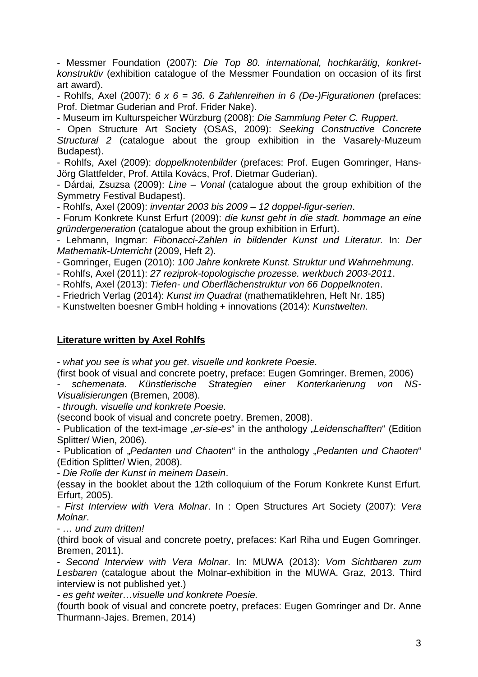- Messmer Foundation (2007): *Die Top 80. international, hochkarätig, konkretkonstruktiv* (exhibition catalogue of the Messmer Foundation on occasion of its first art award).

- Rohlfs, Axel (2007): *6 x 6 = 36. 6 Zahlenreihen in 6 (De-)Figurationen* (prefaces: Prof. Dietmar Guderian and Prof. Frider Nake).

- Museum im Kulturspeicher Würzburg (2008): *Die Sammlung Peter C. Ruppert*.

- Open Structure Art Society (OSAS, 2009): *Seeking Constructive Concrete Structural 2* (catalogue about the group exhibition in the Vasarely-Muzeum Budapest).

- Rohlfs, Axel (2009): *doppelknotenbilder* (prefaces: Prof. Eugen Gomringer, Hans-Jörg Glattfelder, Prof. Attila Kovács, Prof. Dietmar Guderian).

- Dárdai, Zsuzsa (2009): *Line – Vonal* (catalogue about the group exhibition of the Symmetry Festival Budapest).

- Rohlfs, Axel (2009): *inventar 2003 bis 2009 – 12 doppel-figur-serien*.

- Forum Konkrete Kunst Erfurt (2009): *die kunst geht in die stadt. hommage an eine gründergeneration* (catalogue about the group exhibition in Erfurt).

- Lehmann, Ingmar: *Fibonacci-Zahlen in bildender Kunst und Literatur.* In: *Der Mathematik-Unterricht* (2009, Heft 2).

- Gomringer, Eugen (2010): *100 Jahre konkrete Kunst. Struktur und Wahrnehmung*.

- Rohlfs, Axel (2011): *27 reziprok-topologische prozesse. werkbuch 2003-2011*.

- Rohlfs, Axel (2013): *Tiefen- und Oberflächenstruktur von 66 Doppelknoten*.

- Friedrich Verlag (2014): *Kunst im Quadrat* (mathematiklehren, Heft Nr. 185)

- Kunstwelten boesner GmbH holding + innovations (2014): *Kunstwelten.*

## **Literature written by Axel Rohlfs**

- *what you see is what you get*. *visuelle und konkrete Poesie.*

(first book of visual and concrete poetry, preface: Eugen Gomringer. Bremen, 2006)

*- schemenata. Künstlerische Strategien einer Konterkarierung von NS-Visualisierungen* (Bremen, 2008).

*- through. visuelle und konkrete Poesie.*

(second book of visual and concrete poetry. Bremen, 2008).

- Publication of the text-image "*er-sie-es*" in the anthology "*Leidenschafften*" (Edition Splitter/ Wien, 2006).

- Publication of "*Pedanten und Chaoten*" in the anthology "*Pedanten und Chaoten*" (Edition Splitter/ Wien, 2008).

- *Die Rolle der Kunst in meinem Dasein*.

(essay in the booklet about the 12th colloquium of the Forum Konkrete Kunst Erfurt. Erfurt, 2005).

- *First Interview with Vera Molnar*. In : Open Structures Art Society (2007): *Vera Molnar*.

- *… und zum dritten!*

(third book of visual and concrete poetry, prefaces: Karl Riha und Eugen Gomringer. Bremen, 2011).

- *Second Interview with Vera Molnar*. In: MUWA (2013): *Vom Sichtbaren zum Lesbaren* (catalogue about the Molnar-exhibition in the MUWA. Graz, 2013. Third interview is not published yet.)

*- es geht weiter…visuelle und konkrete Poesie.*

(fourth book of visual and concrete poetry, prefaces: Eugen Gomringer and Dr. Anne Thurmann-Jajes. Bremen, 2014)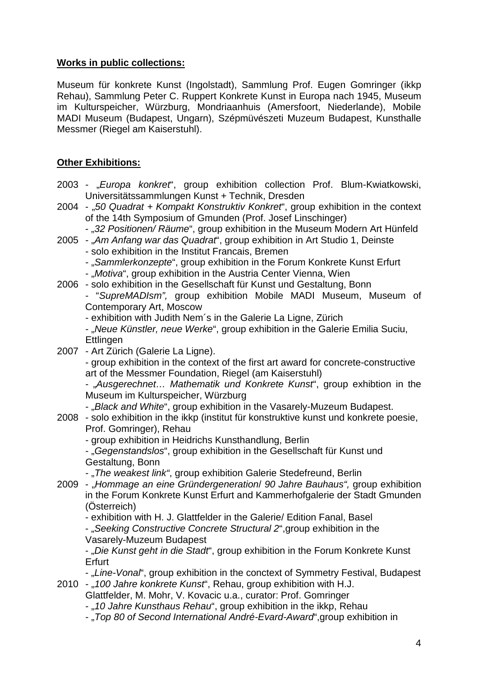#### **Works in public collections:**

Museum für konkrete Kunst (Ingolstadt), Sammlung Prof. Eugen Gomringer (ikkp Rehau), Sammlung Peter C. Ruppert Konkrete Kunst in Europa nach 1945, Museum im Kulturspeicher, Würzburg, Mondriaanhuis (Amersfoort, Niederlande), Mobile MADI Museum (Budapest, Ungarn), Szépmüvészeti Muzeum Budapest, Kunsthalle Messmer (Riegel am Kaiserstuhl).

## **Other Exhibitions:**

- 2003 "*Europa konkret*", group exhibition collection Prof. Blum-Kwiatkowski, Universitätssammlungen Kunst + Technik, Dresden
- 2004 "*50 Quadrat + Kompakt Konstruktiv Konkret*", group exhibition in the context of the 14th Symposium of Gmunden (Prof. Josef Linschinger)
	- "32 Positionen/ Räume", group exhibition in the Museum Modern Art Hünfeld
- 2005 "*Am Anfang war das Quadrat*", group exhibition in Art Studio 1, Deinste - solo exhibition in the Institut Francais, Bremen
	- "Sammlerkonzepte", group exhibition in the Forum Konkrete Kunst Erfurt
	- "Motiva", group exhibition in the Austria Center Vienna, Wien
- 2006 solo exhibition in the Gesellschaft für Kunst und Gestaltung, Bonn - "*SupreMADIsm",* group exhibition Mobile MADI Museum, Museum of Contemporary Art, Moscow
	- exhibition with Judith Nem´s in the Galerie La Ligne, Zürich
	- "Neue Künstler, neue Werke", group exhibition in the Galerie Emilia Suciu, **Ettlingen**
- 2007 Art Zürich (Galerie La Ligne).

- group exhibition in the context of the first art award for concrete-constructive art of the Messmer Foundation, Riegel (am Kaiserstuhl)

- "*Ausgerechnet… Mathematik und Konkrete Kunst*", group exhibtion in the Museum im Kulturspeicher, Würzburg

- "Black and White", group exhibition in the Vasarely-Muzeum Budapest.

2008 - solo exhibition in the ikkp (institut für konstruktive kunst und konkrete poesie, Prof. Gomringer), Rehau

- group exhibition in Heidrichs Kunsthandlung, Berlin

- "Gegenstandslos", group exhibition in the Gesellschaft für Kunst und Gestaltung, Bonn

- "*The weakest link"*, group exhibition Galerie Stedefreund, Berlin

2009 - "*Hommage an eine Gründergeneration*/ *90 Jahre Bauhaus",* group exhibition in the Forum Konkrete Kunst Erfurt and Kammerhofgalerie der Stadt Gmunden (Österreich)

- exhibition with H. J. Glattfelder in the Galerie/ Edition Fanal, Basel

- "Seeking Constructive Concrete Structural 2", group exhibition in the Vasarely-Muzeum Budapest

- "Die Kunst geht in die Stadt", group exhibition in the Forum Konkrete Kunst Erfurt

- "*Line-Vonal*", group exhibition in the conctext of Symmetry Festival, Budapest

2010 - "*100 Jahre konkrete Kunst*", Rehau, group exhibition with H.J.

Glattfelder, M. Mohr, V. Kovacic u.a., curator: Prof. Gomringer

- "*10 Jahre Kunsthaus Rehau*", group exhibition in the ikkp, Rehau

- "*Top 80 of Second International André-Evard-Award*",group exhibition in